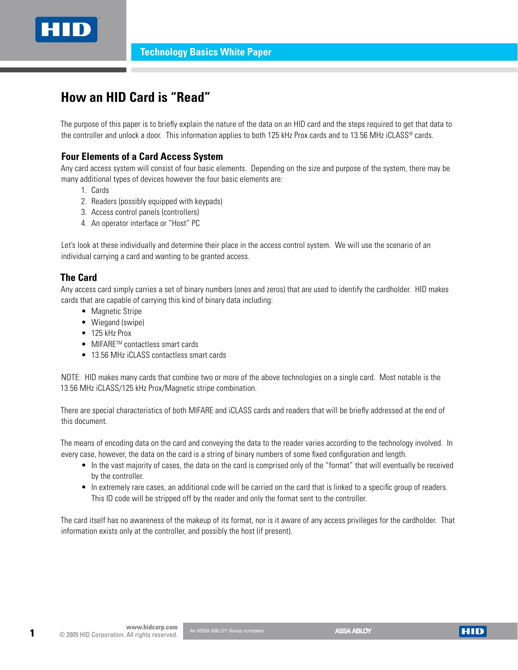

# **How an HID Card is "Read"**

The purpose of this paper is to briefly explain the nature of the data on an HID card and the steps required to get that data to the controller and unlock a door. This information applies to both 125 kHz Prox cards and to 13.56 MHz iCLASS® cards.

## **Four Elements of a Card Access System**

Any card access system will consist of four basic elements. Depending on the size and purpose of the system, there may be many additional types of devices however the four basic elements are:

- 1. Cards
- 2. Readers (possibly equipped with keypads)
- 3. Access control panels (controllers)
- 4. An operator interface or "Host" PC

Let's look at these individually and determine their place in the access control system. We will use the scenario of an individual carrying a card and wanting to be granted access.

#### **The Card**

Any access card simply carries a set of binary numbers (ones and zeros) that are used to identify the cardholder. HID makes cards that are capable of carrying this kind of binary data including:

- Magnetic Stripe
- Wiegand (swipe)
- $\bullet$  125 kHz Prox
- MIFARE<sup>TM</sup> contactless smart cards
- 13.56 MHz iCLASS contactless smart cards

NOTE: HID makes many cards that combine two or more of the above technologies on a single card. Most notable is the 13.56 MHz iCLASS/125 kHz Prox/Magnetic stripe combination.

There are special characteristics of both MIFARE and iCLASS cards and readers that will be briefly addressed at the end of this document.

The means of encoding data on the card and conveying the data to the reader varies according to the technology involved. In every case, however, the data on the card is a string of binary numbers of some fixed configuration and length.

- In the vast majority of cases, the data on the card is comprised only of the "format" that will eventually be received by the controller.
- In extremely rare cases, an additional code will be carried on the card that is linked to a specific group of readers. This ID code will be stripped off by the reader and only the format sent to the controller.

The card itself has no awareness of the makeup of its format, nor is it aware of any access privileges for the cardholder. That information exists only at the controller, and possibly the host (if present).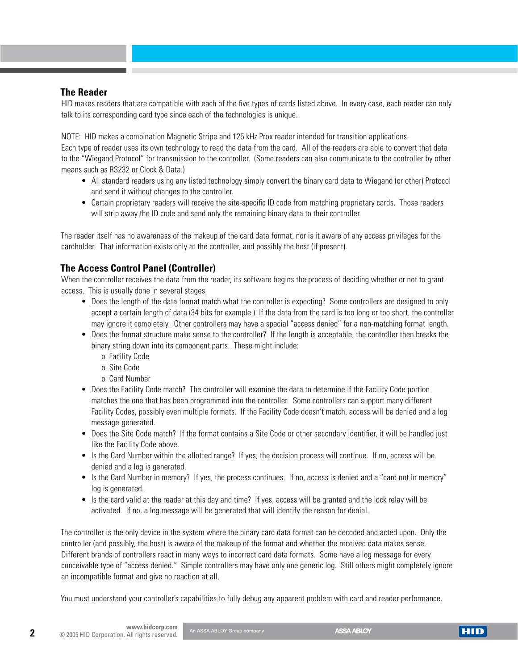# **The Reader**

HID makes readers that are compatible with each of the five types of cards listed above. In every case, each reader can only talk to its corresponding card type since each of the technologies is unique.

NOTE: HID makes a combination Magnetic Stripe and 125 kHz Prox reader intended for transition applications.

Each type of reader uses its own technology to read the data from the card. All of the readers are able to convert that data to the "Wiegand Protocol" for transmission to the controller. (Some readers can also communicate to the controller by other means such as RS232 or Clock & Data.)

- All standard readers using any listed technology simply convert the binary card data to Wiegand (or other) Protocol and send it without changes to the controller.
- • Certain proprietary readers will receive the site-specific ID code from matching proprietary cards. Those readers will strip away the ID code and send only the remaining binary data to their controller.

The reader itself has no awareness of the makeup of the card data format, nor is it aware of any access privileges for the cardholder. That information exists only at the controller, and possibly the host (if present).

# **The Access Control Panel (Controller)**

When the controller receives the data from the reader, its software begins the process of deciding whether or not to grant access. This is usually done in several stages.

- Does the length of the data format match what the controller is expecting? Some controllers are designed to only accept a certain length of data (34 bits for example.) If the data from the card is too long or too short, the controller may ignore it completely. Other controllers may have a special "access denied" for a non-matching format length.
- • Does the format structure make sense to the controller? If the length is acceptable, the controller then breaks the binary string down into its component parts. These might include:
	- o Facility Code
	- o Site Code
	- o Card Number
- Does the Facility Code match? The controller will examine the data to determine if the Facility Code portion matches the one that has been programmed into the controller. Some controllers can support many different Facility Codes, possibly even multiple formats. If the Facility Code doesn't match, access will be denied and a log message generated.
- Does the Site Code match? If the format contains a Site Code or other secondary identifier, it will be handled just like the Facility Code above.
- Is the Card Number within the allotted range? If yes, the decision process will continue. If no, access will be denied and a log is generated.
- Is the Card Number in memory? If yes, the process continues. If no, access is denied and a "card not in memory" log is generated.
- Is the card valid at the reader at this day and time? If yes, access will be granted and the lock relay will be activated. If no, a log message will be generated that will identify the reason for denial.

The controller is the only device in the system where the binary card data format can be decoded and acted upon. Only the controller (and possibly, the host) is aware of the makeup of the format and whether the received data makes sense. Different brands of controllers react in many ways to incorrect card data formats. Some have a log message for every conceivable type of "access denied." Simple controllers may have only one generic log. Still others might completely ignore an incompatible format and give no reaction at all.

You must understand your controller's capabilities to fully debug any apparent problem with card and reader performance.